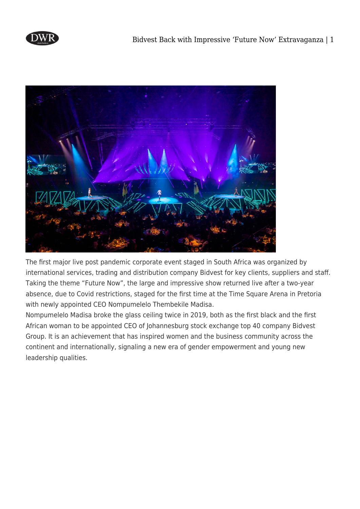



The first major live post pandemic corporate event staged in South Africa was organized by international services, trading and distribution company Bidvest for key clients, suppliers and staff. Taking the theme "Future Now", the large and impressive show returned live after a two-year absence, due to Covid restrictions, staged for the first time at the Time Square Arena in Pretoria with newly appointed CEO Nompumelelo Thembekile Madisa.

Nompumelelo Madisa broke the glass ceiling twice in 2019, both as the first black and the first African woman to be appointed CEO of Johannesburg stock exchange top 40 company Bidvest Group. It is an achievement that has inspired women and the business community across the continent and internationally, signaling a new era of gender empowerment and young new leadership qualities.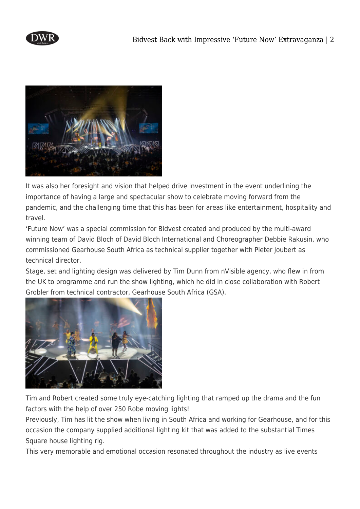



It was also her foresight and vision that helped drive investment in the event underlining the importance of having a large and spectacular show to celebrate moving forward from the pandemic, and the challenging time that this has been for areas like entertainment, hospitality and travel.

'Future Now' was a special commission for Bidvest created and produced by the multi-award winning team of David Bloch of David Bloch International and Choreographer Debbie Rakusin, who commissioned Gearhouse South Africa as technical supplier together with Pieter Joubert as technical director.

Stage, set and lighting design was delivered by Tim Dunn from nVisible agency, who flew in from the UK to programme and run the show lighting, which he did in close collaboration with Robert Grobler from technical contractor, Gearhouse South Africa (GSA).



Tim and Robert created some truly eye-catching lighting that ramped up the drama and the fun factors with the help of over 250 Robe moving lights!

Previously, Tim has lit the show when living in South Africa and working for Gearhouse, and for this occasion the company supplied additional lighting kit that was added to the substantial Times Square house lighting rig.

This very memorable and emotional occasion resonated throughout the industry as live events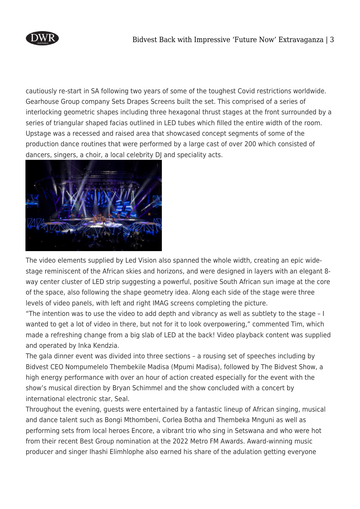

cautiously re-start in SA following two years of some of the toughest Covid restrictions worldwide. Gearhouse Group company Sets Drapes Screens built the set. This comprised of a series of interlocking geometric shapes including three hexagonal thrust stages at the front surrounded by a series of triangular shaped facias outlined in LED tubes which filled the entire width of the room. Upstage was a recessed and raised area that showcased concept segments of some of the production dance routines that were performed by a large cast of over 200 which consisted of dancers, singers, a choir, a local celebrity DJ and speciality acts.



The video elements supplied by Led Vision also spanned the whole width, creating an epic widestage reminiscent of the African skies and horizons, and were designed in layers with an elegant 8 way center cluster of LED strip suggesting a powerful, positive South African sun image at the core of the space, also following the shape geometry idea. Along each side of the stage were three levels of video panels, with left and right IMAG screens completing the picture.

"The intention was to use the video to add depth and vibrancy as well as subtlety to the stage – I wanted to get a lot of video in there, but not for it to look overpowering," commented Tim, which made a refreshing change from a big slab of LED at the back! Video playback content was supplied and operated by Inka Kendzia.

The gala dinner event was divided into three sections – a rousing set of speeches including by Bidvest CEO Nompumelelo Thembekile Madisa (Mpumi Madisa), followed by The Bidvest Show, a high energy performance with over an hour of action created especially for the event with the show's musical direction by Bryan Schimmel and the show concluded with a concert by international electronic star, Seal.

Throughout the evening, guests were entertained by a fantastic lineup of African singing, musical and dance talent such as Bongi Mthombeni, Corlea Botha and Thembeka Mnguni as well as performing sets from local heroes Encore, a vibrant trio who sing in Setswana and who were hot from their recent Best Group nomination at the 2022 Metro FM Awards. Award-winning music producer and singer Ihashi Elimhlophe also earned his share of the adulation getting everyone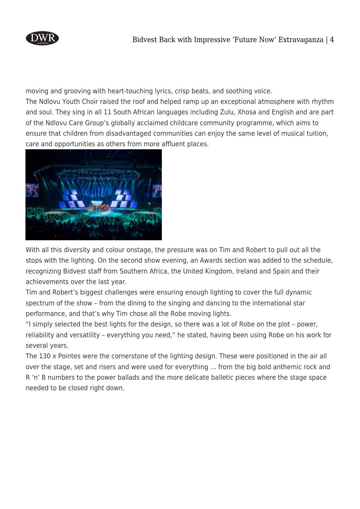

moving and grooving with heart-touching lyrics, crisp beats, and soothing voice. The Ndlovu Youth Choir raised the roof and helped ramp up an exceptional atmosphere with rhythm and soul. They sing in all 11 South African languages including Zulu, Xhosa and English and are part of the Ndlovu Care Group's globally acclaimed childcare community programme, which aims to ensure that children from disadvantaged communities can enjoy the same level of musical tuition, care and opportunities as others from more affluent places.



With all this diversity and colour onstage, the pressure was on Tim and Robert to pull out all the stops with the lighting. On the second show evening, an Awards section was added to the schedule, recognizing Bidvest staff from Southern Africa, the United Kingdom, Ireland and Spain and their achievements over the last year.

Tim and Robert's biggest challenges were ensuring enough lighting to cover the full dynamic spectrum of the show – from the dining to the singing and dancing to the international star performance, and that's why Tim chose all the Robe moving lights.

"I simply selected the best lights for the design, so there was a lot of Robe on the plot – power, reliability and versatility – everything you need," he stated, having been using Robe on his work for several years.

The 130 x Pointes were the cornerstone of the lighting design. These were positioned in the air all over the stage, set and risers and were used for everything … from the big bold anthemic rock and R 'n' B numbers to the power ballads and the more delicate balletic pieces where the stage space needed to be closed right down.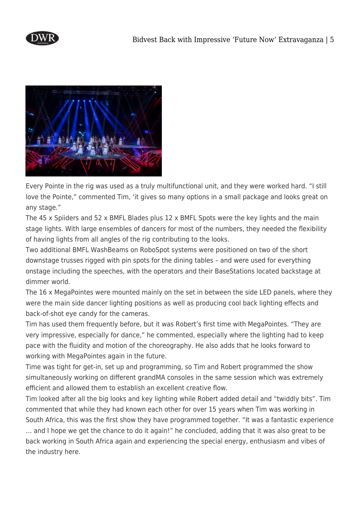



Every Pointe in the rig was used as a truly multifunctional unit, and they were worked hard. "I still love the Pointe," commented Tim, 'it gives so many options in a small package and looks great on any stage."

The 45 x Spiiders and 52 x BMFL Blades plus 12 x BMFL Spots were the key lights and the main stage lights. With large ensembles of dancers for most of the numbers, they needed the flexibility of having lights from all angles of the rig contributing to the looks.

Two additional BMFL WashBeams on RoboSpot systems were positioned on two of the short downstage trusses rigged with pin spots for the dining tables – and were used for everything onstage including the speeches, with the operators and their BaseStations located backstage at dimmer world.

The 16 x MegaPointes were mounted mainly on the set in between the side LED panels, where they were the main side dancer lighting positions as well as producing cool back lighting effects and back-of-shot eye candy for the cameras.

Tim has used them frequently before, but it was Robert's first time with MegaPointes. "They are very impressive, especially for dance," he commented, especially where the lighting had to keep pace with the fluidity and motion of the choreography. He also adds that he looks forward to working with MegaPointes again in the future.

Time was tight for get-in, set up and programming, so Tim and Robert programmed the show simultaneously working on different grandMA consoles in the same session which was extremely efficient and allowed them to establish an excellent creative flow.

Tim looked after all the big looks and key lighting while Robert added detail and "twiddly bits". Tim commented that while they had known each other for over 15 years when Tim was working in South Africa, this was the first show they have programmed together. "It was a fantastic experience … and I hope we get the chance to do it again!" he concluded, adding that it was also great to be back working in South Africa again and experiencing the special energy, enthusiasm and vibes of the industry here.